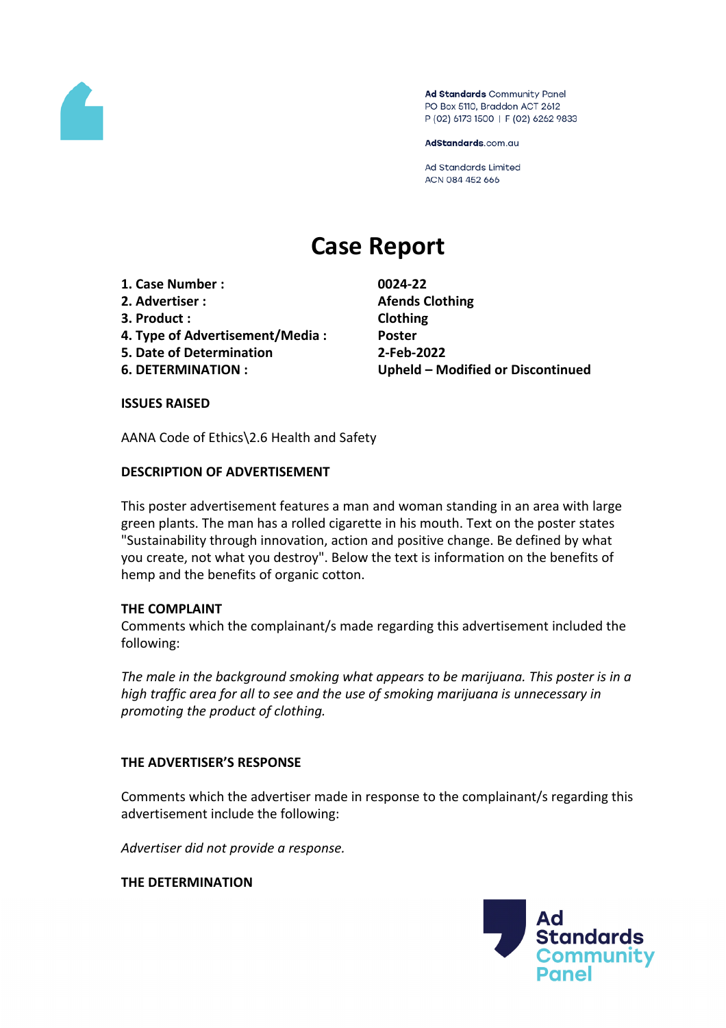

Ad Standards Community Panel PO Box 5110, Braddon ACT 2612 P (02) 6173 1500 | F (02) 6262 9833

AdStandards.com.au

**Ad Standards Limited** ACN 084 452 666

# **Case Report**

- **1. Case Number : 0024-22**
- **2. Advertiser : Afends Clothing**
- **3. Product : Clothing**
- **4. Type of Advertisement/Media : Poster**
- **5. Date of Determination 2-Feb-2022**
- 

**6. DETERMINATION : Upheld – Modified or Discontinued**

### **ISSUES RAISED**

AANA Code of Ethics\2.6 Health and Safety

## **DESCRIPTION OF ADVERTISEMENT**

This poster advertisement features a man and woman standing in an area with large green plants. The man has a rolled cigarette in his mouth. Text on the poster states "Sustainability through innovation, action and positive change. Be defined by what you create, not what you destroy". Below the text is information on the benefits of hemp and the benefits of organic cotton.

### **THE COMPLAINT**

Comments which the complainant/s made regarding this advertisement included the following:

*The male in the background smoking what appears to be marijuana. This poster is in a high traffic area for all to see and the use of smoking marijuana is unnecessary in promoting the product of clothing.*

### **THE ADVERTISER'S RESPONSE**

Comments which the advertiser made in response to the complainant/s regarding this advertisement include the following:

*Advertiser did not provide a response.*

**THE DETERMINATION**

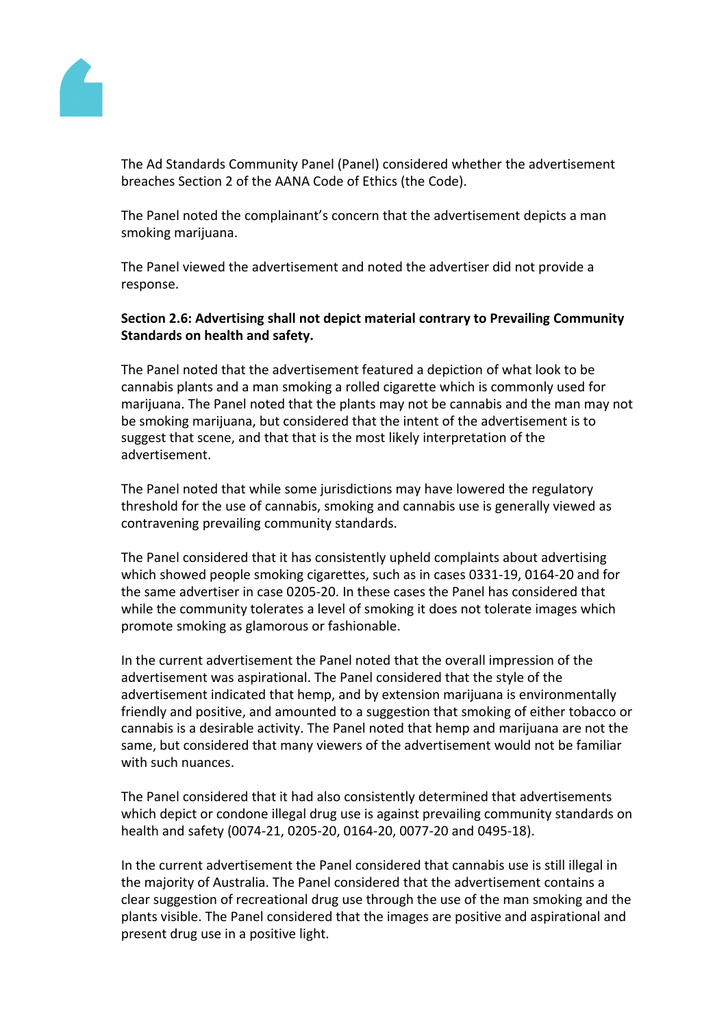

The Ad Standards Community Panel (Panel) considered whether the advertisement breaches Section 2 of the AANA Code of Ethics (the Code).

The Panel noted the complainant's concern that the advertisement depicts a man smoking marijuana.

The Panel viewed the advertisement and noted the advertiser did not provide a response.

## **Section 2.6: Advertising shall not depict material contrary to Prevailing Community Standards on health and safety.**

The Panel noted that the advertisement featured a depiction of what look to be cannabis plants and a man smoking a rolled cigarette which is commonly used for marijuana. The Panel noted that the plants may not be cannabis and the man may not be smoking marijuana, but considered that the intent of the advertisement is to suggest that scene, and that that is the most likely interpretation of the advertisement.

The Panel noted that while some jurisdictions may have lowered the regulatory threshold for the use of cannabis, smoking and cannabis use is generally viewed as contravening prevailing community standards.

The Panel considered that it has consistently upheld complaints about advertising which showed people smoking cigarettes, such as in cases 0331-19, 0164-20 and for the same advertiser in case 0205-20. In these cases the Panel has considered that while the community tolerates a level of smoking it does not tolerate images which promote smoking as glamorous or fashionable.

In the current advertisement the Panel noted that the overall impression of the advertisement was aspirational. The Panel considered that the style of the advertisement indicated that hemp, and by extension marijuana is environmentally friendly and positive, and amounted to a suggestion that smoking of either tobacco or cannabis is a desirable activity. The Panel noted that hemp and marijuana are not the same, but considered that many viewers of the advertisement would not be familiar with such nuances.

The Panel considered that it had also consistently determined that advertisements which depict or condone illegal drug use is against prevailing community standards on health and safety (0074-21, 0205-20, 0164-20, 0077-20 and 0495-18).

In the current advertisement the Panel considered that cannabis use is still illegal in the majority of Australia. The Panel considered that the advertisement contains a clear suggestion of recreational drug use through the use of the man smoking and the plants visible. The Panel considered that the images are positive and aspirational and present drug use in a positive light.